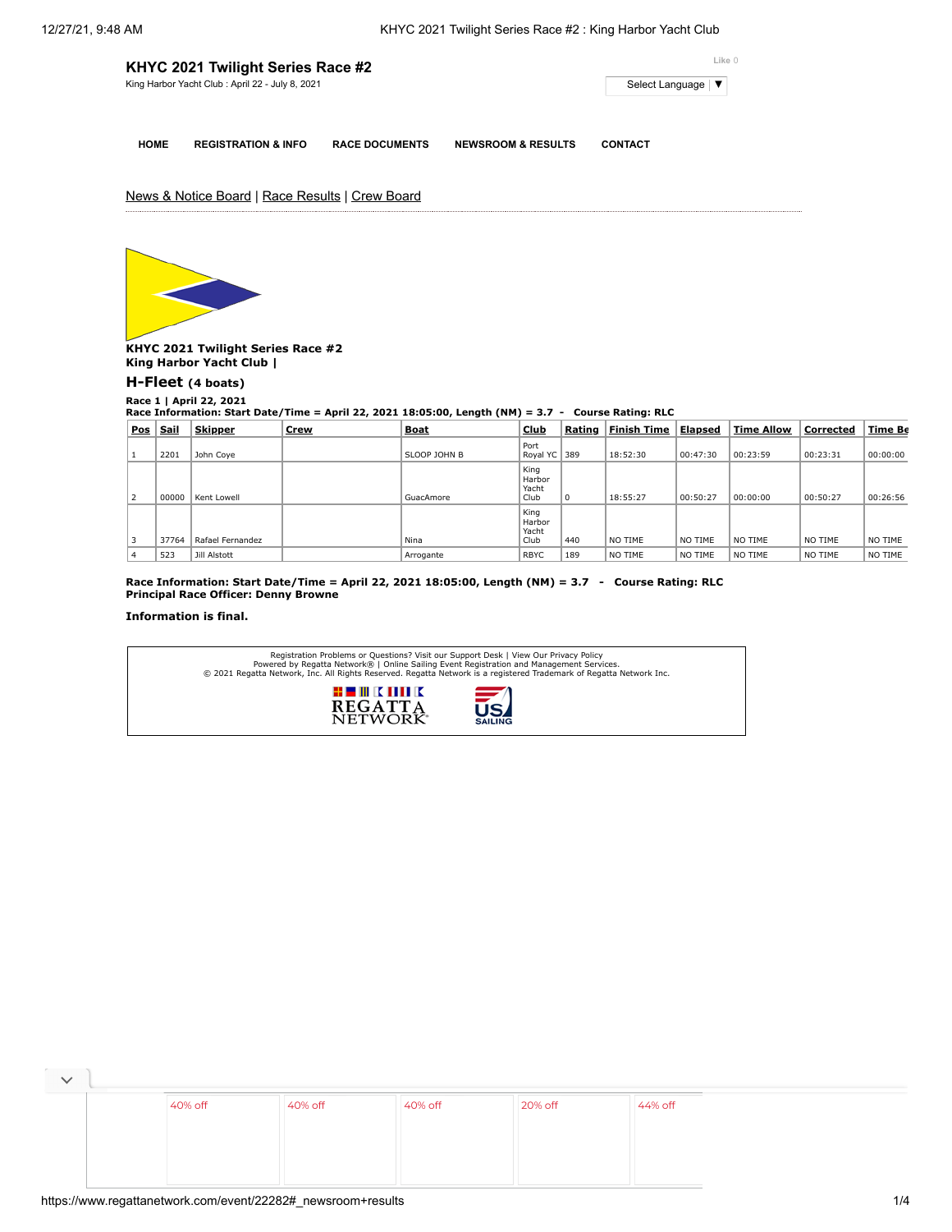| KHYC 2021 Twilight Series Race #2               | Like 0                           |
|-------------------------------------------------|----------------------------------|
| King Harbor Yacht Club: April 22 - July 8, 2021 | Select Language   ▼ <sub>1</sub> |
|                                                 |                                  |
|                                                 |                                  |

**HOME REGISTRATION & INFO RACE DOCUMENTS NEWSROOM & RESULTS CONTACT**

## News & Notice Board | Race Results | Crew Board



**KHYC 2021 Twilight Series Race #2 King Harbor Yacht Club |**

## **[H-Fleet](https://www.regattanetwork.com/clubmgmt/applet_race_scores.php?regatta_id=22282&race_num=1&fleet=H-Fleet&show_crew=1) (4 boats)**

**Race 1 | April 22, 2021 Race Information: Start Date/Time = April 22, 2021 18:05:00, Length (NM) = 3.7 - Course Rating: RLC**

| <b>Pos</b> | <b>Sail</b> | <b>Skipper</b>      | <b>Crew</b> | Boat         | <b>Club</b>                     | Rating | <b>Finish Time</b> | <u>Elapsed</u> | <b>Time Allow</b> | Corrected | <u>Time Be</u> |
|------------|-------------|---------------------|-------------|--------------|---------------------------------|--------|--------------------|----------------|-------------------|-----------|----------------|
|            | 2201        | John Coye           |             | SLOOP JOHN B | Port<br>Royal YC                | 389    | 18:52:30           | 00:47:30       | 00:23:59          | 00:23:31  | 00:00:00       |
| 2          | 00000       | Kent Lowell         |             | GuacAmore    | King<br>Harbor<br>Yacht<br>Club | 0      | 18:55:27           | 00:50:27       | 00:00:00          | 00:50:27  | 00:26:56       |
|            | 37764       | Rafael Fernandez    |             | Nina         | King<br>Harbor<br>Yacht<br>Club | 440    | NO TIME            | NO TIME        | NO TIME           | NO TIME   | NO TIME        |
| 4          | 523         | <b>Jill Alstott</b> |             | Arrogante    | <b>RBYC</b>                     | 189    | NO TIME            | NO TIME        | NO TIME           | NO TIME   | NO TIME        |

**Race Information: Start Date/Time = April 22, 2021 18:05:00, Length (NM) = 3.7 - Course Rating: RLC Principal Race Officer: Denny Browne**

## **Information is final.**

| Registration Problems or Questions? Visit our Support Desk   View Our Privacy Policy<br>Powered by Regatta Network®   Online Sailing Event Registration and Management Services.<br>© 2021 Regatta Network, Inc. All Rights Reserved. Regatta Network is a registered Trademark of Regatta Network Inc. |                   |
|---------------------------------------------------------------------------------------------------------------------------------------------------------------------------------------------------------------------------------------------------------------------------------------------------------|-------------------|
| # # # K M II K                                                                                                                                                                                                                                                                                          | $\equiv$ $\prime$ |
| <b>REGATTA</b>                                                                                                                                                                                                                                                                                          | <b>ISA</b>        |
| <b>NETWORK</b>                                                                                                                                                                                                                                                                                          | <b>SAILING</b>    |

| 40% off | 40% off | 40% off | 20% off | 44% off |
|---------|---------|---------|---------|---------|
|         |         |         |         |         |
|         |         |         |         |         |
|         |         |         |         |         |

 $\overline{\phantom{a}}$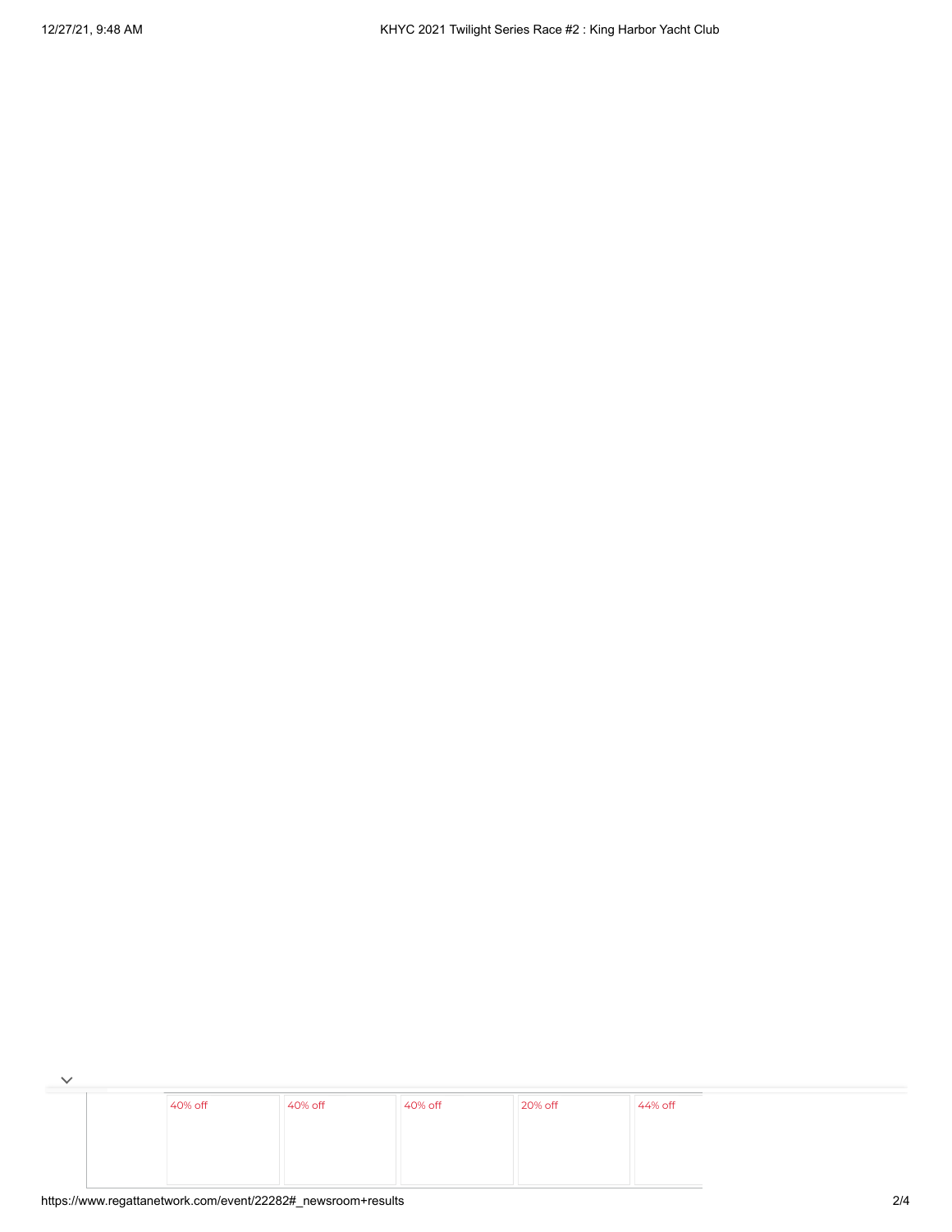$\overline{\phantom{a}}$ [40%](https://cat.da.us.criteo.com/m/delivery/ck.php?cppv=3&cpp=13TaKGWTjr7ZF-bDfSo5VYW6s6Dt5CGyGy0Gvnz_pR3NPOpLOPYduSsEzQd9PpdnK_MlKpkOInCkEnXcS93qjmyEA7ktoJHMAnEiXbyQMP_iby_0FAwL8yy1JIqgpY32KK7oZ1aPO4pCtzffC4iFoJ54WWpizTtwWYcNkOfd_cLyOStlN-0HQ7hncvfoVLQS9t0rtafC-_R-OWemkWhFlK2ce5NekbntiTWUV75LyVa69eruC9pDllJtdKZ3IjywPs_iw8H-vbtcVtiMvnHfj0TedKAe0LXNaXgReVZkYvcT8YzMzStqnkr65H__9ISnXloQgEf6oqgmV5jSp2w8T-CHey4Fs_7kkXruCr8Gbguf0kCxofz1ln2HDXfjthe4kJtGPDtgiztXQ2NdPHx7tr10hZ76ihpHKbkmMKs9-NCcdl7XnQXi9QU8qnGGGSYSDr-tFaga_B6SCp2n09SVC0fykEN1LOcLPaqHjJ93sYqQCdvvd8OawVA3J19p52kH3X4_7w&maxdest=https%3A%2F%2Fwww.jcpenney.com%2Fp%2Fstudio-1-sleeveless-fit-flare-dress%2Fppr5008128171%3FpTmplType%3Dregular%26utm_source%3Dcriteo%26utm_medium%3Ddisplay%26utm_campaign%3Dallusers%26utm_content%3DWomens-Apparel%26cid%3Ddisplay%7Ccriteo%7CWomens-Apparel%7Cstoregeo) off [40%](https://cat.da.us.criteo.com/m/delivery/ck.php?cppv=3&cpp=yaH4EGWTjr7ZF-bDfSo5VYW6s6Dt5CGyGy0Gvnz_pR3NPOpLOPYduSsEzQd9PpdnK_MlKpkOInCkEnXcS93qjmyEA7ktoJHMAnEiXbyQMP_iby_0FAwL8yy1JIqgpY32KK7oZ1aPO4pCtzffC4iFoJ54WWrXcw7lDGxDccXfg2-MlSgrUcueVah8D4v4WCjkEKUFbpJq0UjRAGrSndRC6yNRUskHUJHFPkITaz2d95XBiSIA7sgKxqlOI5udy4hv_5Le0cuZpEKXrG_rY7jdnckgn6v5x7ZyKebLs7Lrc9Vptltqq4jVxHiIGZrkbnxohHg_sLJ_sWR8wmgXtgRNZEoQ_7jSo7Tjzziacjay5kRUrvOO-EdK5PkzG3HfyEuQubwMKgYhEUXsyaibSGtfxaBMAdBP0JSk1qazRE0XdMuXcO3UJdJZ0hVBTJaOq7fMChzeuxA4FEeVNdexxFRtHTXMttGEbVvPZl0ktezPBg-MPNvKwMQnYBVc1QQBVdjukjoWcA&maxdest=https%3A%2F%2Fwww.jcpenney.com%2Fp%2Flondon-times-sleeveless-neck-tie-midi-maxi-dress%2Fppr5008128030%3FpTmplType%3Dregular%26utm_source%3Dcriteo%26utm_medium%3Ddisplay%26utm_campaign%3Dallusers%26utm_content%3DWomens-Apparel%26cid%3Ddisplay%7Ccriteo%7CWomens-Apparel%7Cstoregeo) off [40%](https://cat.da.us.criteo.com/m/delivery/ck.php?cppv=3&cpp=ImZnS2WTjr7ZF-bDfSo5VYW6s6Dt5CGyGy0Gvnz_pR3NPOpLOPYduSsEzQd9PpdnK_MlKpkOInCkEnXcS93qjmyEA7ktoJHMAnEiXbyQMP_iby_0FAwL8yy1JIqgpY32KK7oZ1aPO4pCtzffC4iFoJ54WWpizTtwWYcNkOfd_cLyOStlgy4CNpO8aCKx1egB60bldRieHigMDx1Vxmy83bdiwoH4vqnmopiEs_wm92rD3lK3I4Lh0gyufa09IXbSc-R9Xq5wVkuoBVQyBOKJZBf4rtoKtSGRLABuZHzfUFmBr71GrkeGaptL8LhWeG05cFwyjs_mxSFW5_a3ogLayLSiBN6u_zof-jZkO61R1exR7SPGgdwcTJBwcMP4sEGUmu6y_Xw-kfFij2v0Fd14AB9IcNIxo5JjLnLVasn1nAz1IdwIZlTdqfa36aksSX7rHL1AtzHsku3ljMUrlg2-aaYjfkOISVr07IE7yU_Zy4QXUjWH8ETJwmRUW5gGTToZLaZYRQ&maxdest=https%3A%2F%2Fwww.jcpenney.com%2Fp%2Fronni-nicole-long-sleeve-swing-dresses%2Fppr5008109855%3FpTmplType%3Dregular%26utm_source%3Dcriteo%26utm_medium%3Ddisplay%26utm_campaign%3Dallusers%26utm_content%3DWomens-Apparel%26cid%3Ddisplay%7Ccriteo%7CWomens-Apparel%7Cstoregeo) off [20%](https://cat.da.us.criteo.com/m/delivery/ck.php?cppv=3&cpp=0UWEV2WTjr7ZF-bDfSo5VYW6s6Dt5CGyGy0Gvnz_pR3NPOpLOPYduSsEzQd9PpdnK_MlKpkOInCkEnXcS93qjmyEA7ktoJHMAnEiXbyQMP_iby_0FAwL8yy1JIqgpY32KK7oZ1aPO4pCtzffC4iFoJ54WWrXcw7lDGxDccXfg2-MlSgr9_jd_LyIRp8Vgs3qJPnaLUHmp23nY5PUXicOdXtKW_7SG2b8UjP2LCjcFEw2aA-55tABjRcSYRZHLcoWpibGaa2U9w1121qSZavRnQqs0Lorw9Q4TOa_EtDwzwn8dAr_Dnb-YOQaC33qSDh1wGQvWJY3RpYl5eK8P4FxH3DqcjpEFLdClFfeC1CKqKXI9is7sXBM6tT-VGEOjyzfnOlwwhtdlbM1aaB5h7DnAI6pI4ggk_Z4rcwb6zvgPyZErP6i37kjqmNCRgawfcwJ94EiG2TYCuZUtPO-k_FOSGIkmAyyS0u5fuUEnb--XN8-3lOwwqRdT8O36nZTJjWzVov4Jg&maxdest=https%3A%2F%2Fwww.jcpenney.com%2Fp%2F24-7-comfort-apparel-long-sleeve-a-line-dress-maternity%2Fppr5008059282%3FpTmplType%3Dregular%26utm_source%3Dcriteo%26utm_medium%3Ddisplay%26utm_campaign%3Dallusers%26utm_content%3DWomens-Apparel%26cid%3Ddisplay%7Ccriteo%7CWomens-Apparel%7Cstoregeo) off [44%](https://cat.da.us.criteo.com/m/delivery/ck.php?cppv=3&cpp=7trce2WTjr7ZF-bDfSo5VYW6s6Dt5CGyGy0Gvnz_pR3NPOpLOPYduSsEzQd9PpdnK_MlKpkOInCkEnXcS93qjmyEA7ktoJHMAnEiXbyQMP_iby_0FAwL8yy1JIqgpY32KK7oZ1aPO4pCtzffC4iFoJ54WWpizTtwWYcNkOfd_cLyOStloFbg84S9g4M7exDxQ9CPsEikv4XVh6JO2mzBDkKUDRAIqNGdUjbmA29eUe_z5eCwkhlJTVLd-se63VBzEbLN04kjG13kUipdKjfZ_C65joZ0WapqLAvZuv-q3Jt5Uk7Pv8Sh8LqrLpmRJeYoH4PeM34U1S57FZ90fqch15cuW9lHKTzallqG6PEauvZpulzbTtVsI53KNR-P2PznLnXGo8U7kTP1PZvtXAYBlOGKarlRpo-K59LH84POiETiEKG3ZeRStlYKaAx_NBoMMyYncReYJjbMRfQjCmT1gEz0YYJ7xWvQaL2nZePc96ggX4t-jVA3FVPM4T4xEcF-IiBBVA&maxdest=https%3A%2F%2Fwww.jcpenney.com%2Fp%2Fryegrass-long-sleeve-party-dress%2Fppr5008122327%3FpTmplType%3Dregular%26utm_source%3Dcriteo%26utm_medium%3Ddisplay%26utm_campaign%3Dallusers%26utm_content%3DWomens-Apparel%26cid%3Ddisplay%7Ccriteo%7CWomens-Apparel%7Cstoregeo) off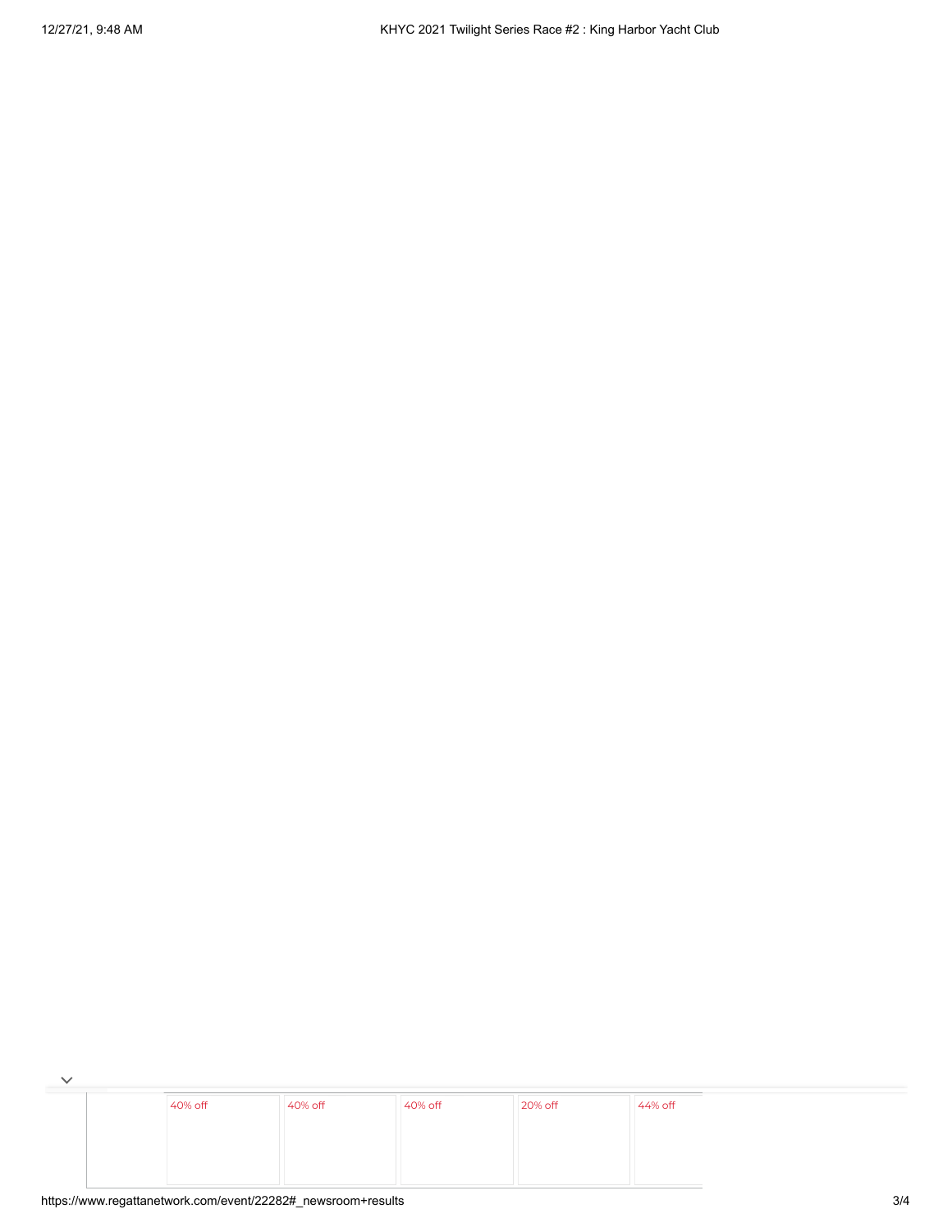$\overline{\phantom{a}}$ [40%](https://cat.da.us.criteo.com/m/delivery/ck.php?cppv=3&cpp=13TaKGWTjr7ZF-bDfSo5VYW6s6Dt5CGyGy0Gvnz_pR3NPOpLOPYduSsEzQd9PpdnK_MlKpkOInCkEnXcS93qjmyEA7ktoJHMAnEiXbyQMP_iby_0FAwL8yy1JIqgpY32KK7oZ1aPO4pCtzffC4iFoJ54WWpizTtwWYcNkOfd_cLyOStlN-0HQ7hncvfoVLQS9t0rtafC-_R-OWemkWhFlK2ce5NekbntiTWUV75LyVa69eruC9pDllJtdKZ3IjywPs_iw8H-vbtcVtiMvnHfj0TedKAe0LXNaXgReVZkYvcT8YzMzStqnkr65H__9ISnXloQgEf6oqgmV5jSp2w8T-CHey4Fs_7kkXruCr8Gbguf0kCxofz1ln2HDXfjthe4kJtGPDtgiztXQ2NdPHx7tr10hZ76ihpHKbkmMKs9-NCcdl7XnQXi9QU8qnGGGSYSDr-tFaga_B6SCp2n09SVC0fykEN1LOcLPaqHjJ93sYqQCdvvd8OawVA3J19p52kH3X4_7w&maxdest=https%3A%2F%2Fwww.jcpenney.com%2Fp%2Fstudio-1-sleeveless-fit-flare-dress%2Fppr5008128171%3FpTmplType%3Dregular%26utm_source%3Dcriteo%26utm_medium%3Ddisplay%26utm_campaign%3Dallusers%26utm_content%3DWomens-Apparel%26cid%3Ddisplay%7Ccriteo%7CWomens-Apparel%7Cstoregeo) off [40%](https://cat.da.us.criteo.com/m/delivery/ck.php?cppv=3&cpp=yaH4EGWTjr7ZF-bDfSo5VYW6s6Dt5CGyGy0Gvnz_pR3NPOpLOPYduSsEzQd9PpdnK_MlKpkOInCkEnXcS93qjmyEA7ktoJHMAnEiXbyQMP_iby_0FAwL8yy1JIqgpY32KK7oZ1aPO4pCtzffC4iFoJ54WWrXcw7lDGxDccXfg2-MlSgrUcueVah8D4v4WCjkEKUFbpJq0UjRAGrSndRC6yNRUskHUJHFPkITaz2d95XBiSIA7sgKxqlOI5udy4hv_5Le0cuZpEKXrG_rY7jdnckgn6v5x7ZyKebLs7Lrc9Vptltqq4jVxHiIGZrkbnxohHg_sLJ_sWR8wmgXtgRNZEoQ_7jSo7Tjzziacjay5kRUrvOO-EdK5PkzG3HfyEuQubwMKgYhEUXsyaibSGtfxaBMAdBP0JSk1qazRE0XdMuXcO3UJdJZ0hVBTJaOq7fMChzeuxA4FEeVNdexxFRtHTXMttGEbVvPZl0ktezPBg-MPNvKwMQnYBVc1QQBVdjukjoWcA&maxdest=https%3A%2F%2Fwww.jcpenney.com%2Fp%2Flondon-times-sleeveless-neck-tie-midi-maxi-dress%2Fppr5008128030%3FpTmplType%3Dregular%26utm_source%3Dcriteo%26utm_medium%3Ddisplay%26utm_campaign%3Dallusers%26utm_content%3DWomens-Apparel%26cid%3Ddisplay%7Ccriteo%7CWomens-Apparel%7Cstoregeo) off [40%](https://cat.da.us.criteo.com/m/delivery/ck.php?cppv=3&cpp=ImZnS2WTjr7ZF-bDfSo5VYW6s6Dt5CGyGy0Gvnz_pR3NPOpLOPYduSsEzQd9PpdnK_MlKpkOInCkEnXcS93qjmyEA7ktoJHMAnEiXbyQMP_iby_0FAwL8yy1JIqgpY32KK7oZ1aPO4pCtzffC4iFoJ54WWpizTtwWYcNkOfd_cLyOStlgy4CNpO8aCKx1egB60bldRieHigMDx1Vxmy83bdiwoH4vqnmopiEs_wm92rD3lK3I4Lh0gyufa09IXbSc-R9Xq5wVkuoBVQyBOKJZBf4rtoKtSGRLABuZHzfUFmBr71GrkeGaptL8LhWeG05cFwyjs_mxSFW5_a3ogLayLSiBN6u_zof-jZkO61R1exR7SPGgdwcTJBwcMP4sEGUmu6y_Xw-kfFij2v0Fd14AB9IcNIxo5JjLnLVasn1nAz1IdwIZlTdqfa36aksSX7rHL1AtzHsku3ljMUrlg2-aaYjfkOISVr07IE7yU_Zy4QXUjWH8ETJwmRUW5gGTToZLaZYRQ&maxdest=https%3A%2F%2Fwww.jcpenney.com%2Fp%2Fronni-nicole-long-sleeve-swing-dresses%2Fppr5008109855%3FpTmplType%3Dregular%26utm_source%3Dcriteo%26utm_medium%3Ddisplay%26utm_campaign%3Dallusers%26utm_content%3DWomens-Apparel%26cid%3Ddisplay%7Ccriteo%7CWomens-Apparel%7Cstoregeo) off [20%](https://cat.da.us.criteo.com/m/delivery/ck.php?cppv=3&cpp=0UWEV2WTjr7ZF-bDfSo5VYW6s6Dt5CGyGy0Gvnz_pR3NPOpLOPYduSsEzQd9PpdnK_MlKpkOInCkEnXcS93qjmyEA7ktoJHMAnEiXbyQMP_iby_0FAwL8yy1JIqgpY32KK7oZ1aPO4pCtzffC4iFoJ54WWrXcw7lDGxDccXfg2-MlSgr9_jd_LyIRp8Vgs3qJPnaLUHmp23nY5PUXicOdXtKW_7SG2b8UjP2LCjcFEw2aA-55tABjRcSYRZHLcoWpibGaa2U9w1121qSZavRnQqs0Lorw9Q4TOa_EtDwzwn8dAr_Dnb-YOQaC33qSDh1wGQvWJY3RpYl5eK8P4FxH3DqcjpEFLdClFfeC1CKqKXI9is7sXBM6tT-VGEOjyzfnOlwwhtdlbM1aaB5h7DnAI6pI4ggk_Z4rcwb6zvgPyZErP6i37kjqmNCRgawfcwJ94EiG2TYCuZUtPO-k_FOSGIkmAyyS0u5fuUEnb--XN8-3lOwwqRdT8O36nZTJjWzVov4Jg&maxdest=https%3A%2F%2Fwww.jcpenney.com%2Fp%2F24-7-comfort-apparel-long-sleeve-a-line-dress-maternity%2Fppr5008059282%3FpTmplType%3Dregular%26utm_source%3Dcriteo%26utm_medium%3Ddisplay%26utm_campaign%3Dallusers%26utm_content%3DWomens-Apparel%26cid%3Ddisplay%7Ccriteo%7CWomens-Apparel%7Cstoregeo) off [44%](https://cat.da.us.criteo.com/m/delivery/ck.php?cppv=3&cpp=7trce2WTjr7ZF-bDfSo5VYW6s6Dt5CGyGy0Gvnz_pR3NPOpLOPYduSsEzQd9PpdnK_MlKpkOInCkEnXcS93qjmyEA7ktoJHMAnEiXbyQMP_iby_0FAwL8yy1JIqgpY32KK7oZ1aPO4pCtzffC4iFoJ54WWpizTtwWYcNkOfd_cLyOStloFbg84S9g4M7exDxQ9CPsEikv4XVh6JO2mzBDkKUDRAIqNGdUjbmA29eUe_z5eCwkhlJTVLd-se63VBzEbLN04kjG13kUipdKjfZ_C65joZ0WapqLAvZuv-q3Jt5Uk7Pv8Sh8LqrLpmRJeYoH4PeM34U1S57FZ90fqch15cuW9lHKTzallqG6PEauvZpulzbTtVsI53KNR-P2PznLnXGo8U7kTP1PZvtXAYBlOGKarlRpo-K59LH84POiETiEKG3ZeRStlYKaAx_NBoMMyYncReYJjbMRfQjCmT1gEz0YYJ7xWvQaL2nZePc96ggX4t-jVA3FVPM4T4xEcF-IiBBVA&maxdest=https%3A%2F%2Fwww.jcpenney.com%2Fp%2Fryegrass-long-sleeve-party-dress%2Fppr5008122327%3FpTmplType%3Dregular%26utm_source%3Dcriteo%26utm_medium%3Ddisplay%26utm_campaign%3Dallusers%26utm_content%3DWomens-Apparel%26cid%3Ddisplay%7Ccriteo%7CWomens-Apparel%7Cstoregeo) off